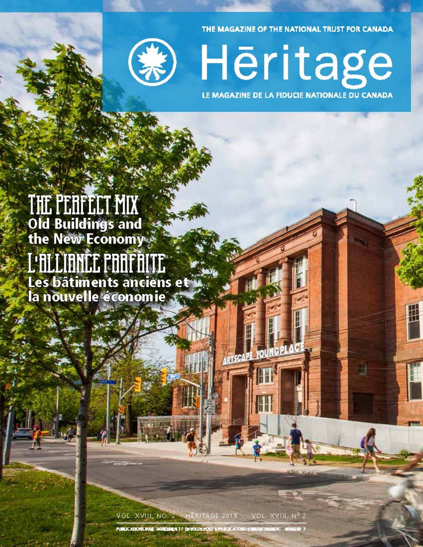THE MAGAZINE OF THE NATIONAL TRUST FOR CANADA



Hēritage LE MAGAZINE DE LA FIDUCIE NATIONALE DU CANADA

# THE PERFELT MIX<br>Old Buildings and<br>the New Economy L'ALLIANCE POOFFILIE Les bâtiments anciens et la nouvelle économie 3

VOL. XVIII, NO. 2 HERITAGE 2015 VOL. XVIII, Nº 2

ARTSCAPE YOUNGP

Ħ

PUBLICATIONS MAIL: AGRESSIEN T/ ENVOLDE POST E-PUBLICATIONS ENREGISTIVENENT 4004239 7